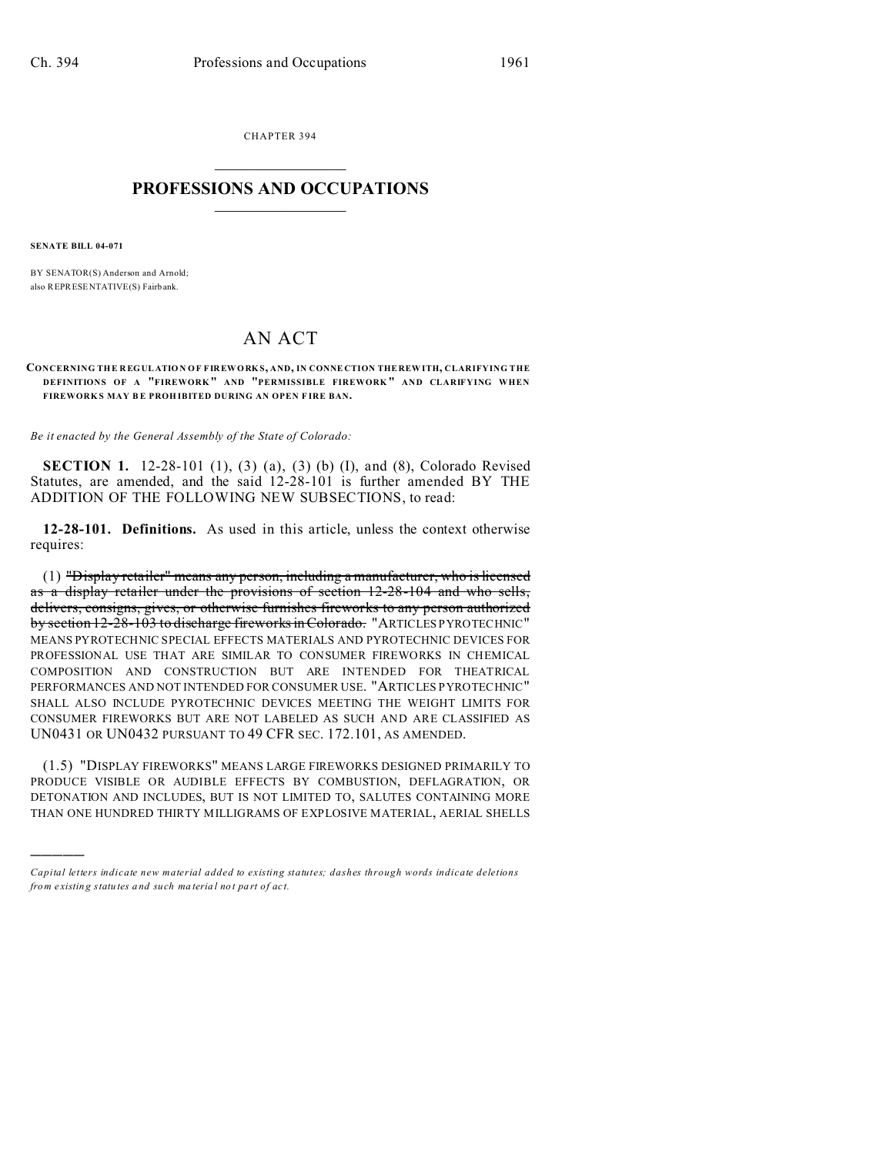CHAPTER 394  $\overline{\phantom{a}}$  , where  $\overline{\phantom{a}}$ 

## **PROFESSIONS AND OCCUPATIONS**  $\frac{1}{2}$  ,  $\frac{1}{2}$  ,  $\frac{1}{2}$  ,  $\frac{1}{2}$  ,  $\frac{1}{2}$  ,  $\frac{1}{2}$

**SENATE BILL 04-071**

)))))

BY SENATOR(S) Anderson and Arnold; also REPRESENTATIVE(S) Fairb ank.

## AN ACT

## **CONCERNING TH E REG UL ATIO N OF FIR EWORK S, AND, IN CONNE CTION THE REW ITH, CLARIFYING THE DEFINITIONS OF A "FIREWORK " AND "PERMISSIBLE FIREWORK " AND CLARIFYING WHEN FIREWORK S MAY B E PROH IBITED DURING AN OPEN F IRE BAN.**

*Be it enacted by the General Assembly of the State of Colorado:*

**SECTION 1.** 12-28-101 (1), (3) (a), (3) (b) (I), and (8), Colorado Revised Statutes, are amended, and the said 12-28-101 is further amended BY THE ADDITION OF THE FOLLOWING NEW SUBSECTIONS, to read:

**12-28-101. Definitions.** As used in this article, unless the context otherwise requires:

(1) "Display retailer" means any person, including a manufacturer, who is licensed as a display retailer under the provisions of section 12-28-104 and who sells, delivers, consigns, gives, or otherwise furnishes fireworks to any person authorized by section 12-28-103 to discharge fireworksin Colorado. "ARTICLES PYROTECHNIC" MEANS PYROTECHNIC SPECIAL EFFECTS MATERIALS AND PYROTECHNIC DEVICES FOR PROFESSIONAL USE THAT ARE SIMILAR TO CONSUMER FIREWORKS IN CHEMICAL COMPOSITION AND CONSTRUCTION BUT ARE INTENDED FOR THEATRICAL PERFORMANCES AND NOT INTENDED FOR CONSUMER USE. "ARTICLES PYROTECHNIC" SHALL ALSO INCLUDE PYROTECHNIC DEVICES MEETING THE WEIGHT LIMITS FOR CONSUMER FIREWORKS BUT ARE NOT LABELED AS SUCH AND ARE CLASSIFIED AS UN0431 OR UN0432 PURSUANT TO 49 CFR SEC. 172.101, AS AMENDED.

(1.5) "DISPLAY FIREWORKS" MEANS LARGE FIREWORKS DESIGNED PRIMARILY TO PRODUCE VISIBLE OR AUDIBLE EFFECTS BY COMBUSTION, DEFLAGRATION, OR DETONATION AND INCLUDES, BUT IS NOT LIMITED TO, SALUTES CONTAINING MORE THAN ONE HUNDRED THIRTY MILLIGRAMS OF EXPLOSIVE MATERIAL, AERIAL SHELLS

*Capital letters indicate new material added to existing statutes; dashes through words indicate deletions from e xistin g statu tes a nd such ma teria l no t pa rt of ac t.*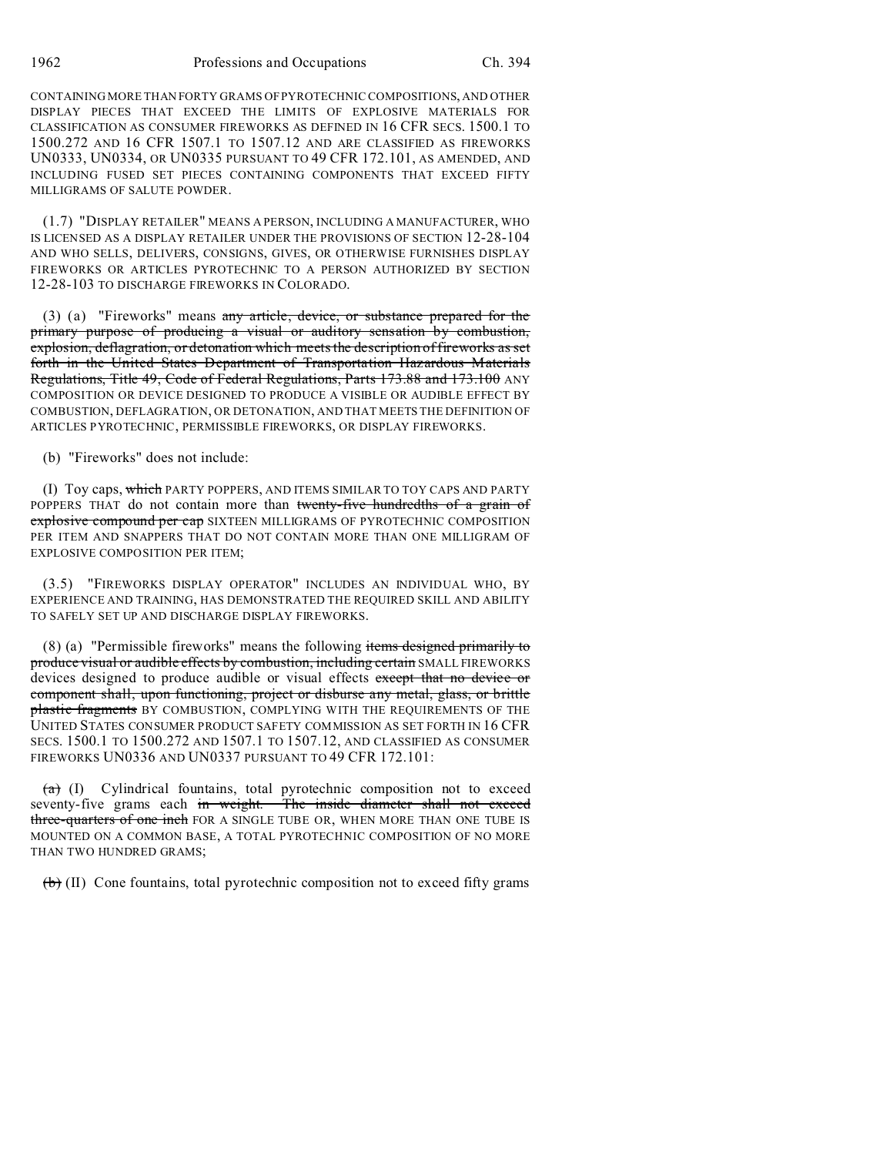CONTAINING MORE THAN FORTY GRAMS OF PYROTECHNIC COMPOSITIONS, AND OTHER DISPLAY PIECES THAT EXCEED THE LIMITS OF EXPLOSIVE MATERIALS FOR CLASSIFICATION AS CONSUMER FIREWORKS AS DEFINED IN 16 CFR SECS. 1500.1 TO 1500.272 AND 16 CFR 1507.1 TO 1507.12 AND ARE CLASSIFIED AS FIREWORKS UN0333, UN0334, OR UN0335 PURSUANT TO 49 CFR 172.101, AS AMENDED, AND INCLUDING FUSED SET PIECES CONTAINING COMPONENTS THAT EXCEED FIFTY MILLIGRAMS OF SALUTE POWDER.

(1.7) "DISPLAY RETAILER" MEANS A PERSON, INCLUDING A MANUFACTURER, WHO IS LICENSED AS A DISPLAY RETAILER UNDER THE PROVISIONS OF SECTION 12-28-104 AND WHO SELLS, DELIVERS, CONSIGNS, GIVES, OR OTHERWISE FURNISHES DISPLAY FIREWORKS OR ARTICLES PYROTECHNIC TO A PERSON AUTHORIZED BY SECTION 12-28-103 TO DISCHARGE FIREWORKS IN COLORADO.

(3) (a) "Fireworks" means any article, device, or substance prepared for the primary purpose of producing a visual or auditory sensation by combustion, explosion, deflagration, or detonation which meets the description of fireworks as set forth in the United States Department of Transportation Hazardous Materials Regulations, Title 49, Code of Federal Regulations, Parts 173.88 and 173.100 ANY COMPOSITION OR DEVICE DESIGNED TO PRODUCE A VISIBLE OR AUDIBLE EFFECT BY COMBUSTION, DEFLAGRATION, OR DETONATION, AND THAT MEETS THE DEFINITION OF ARTICLES PYROTECHNIC, PERMISSIBLE FIREWORKS, OR DISPLAY FIREWORKS.

(b) "Fireworks" does not include:

(I) Toy caps, which PARTY POPPERS, AND ITEMS SIMILAR TO TOY CAPS AND PARTY POPPERS THAT do not contain more than twenty-five hundredths of a grain of explosive compound per cap SIXTEEN MILLIGRAMS OF PYROTECHNIC COMPOSITION PER ITEM AND SNAPPERS THAT DO NOT CONTAIN MORE THAN ONE MILLIGRAM OF EXPLOSIVE COMPOSITION PER ITEM;

(3.5) "FIREWORKS DISPLAY OPERATOR" INCLUDES AN INDIVIDUAL WHO, BY EXPERIENCE AND TRAINING, HAS DEMONSTRATED THE REQUIRED SKILL AND ABILITY TO SAFELY SET UP AND DISCHARGE DISPLAY FIREWORKS.

(8) (a) "Permissible fireworks" means the following items designed primarily to produce visual or audible effects by combustion, including certain SMALL FIREWORKS devices designed to produce audible or visual effects except that no device or component shall, upon functioning, project or disburse any metal, glass, or brittle plastic fragments BY COMBUSTION, COMPLYING WITH THE REQUIREMENTS OF THE UNITED STATES CONSUMER PRODUCT SAFETY COMMISSION AS SET FORTH IN 16 CFR SECS. 1500.1 TO 1500.272 AND 1507.1 TO 1507.12, AND CLASSIFIED AS CONSUMER FIREWORKS UN0336 AND UN0337 PURSUANT TO 49 CFR 172.101:

 $(a)$  (I) Cylindrical fountains, total pyrotechnic composition not to exceed seventy-five grams each in weight. The inside diameter shall not exceed three-quarters of one inch FOR A SINGLE TUBE OR, WHEN MORE THAN ONE TUBE IS MOUNTED ON A COMMON BASE, A TOTAL PYROTECHNIC COMPOSITION OF NO MORE THAN TWO HUNDRED GRAMS;

 $(b)$  (II) Cone fountains, total pyrotechnic composition not to exceed fifty grams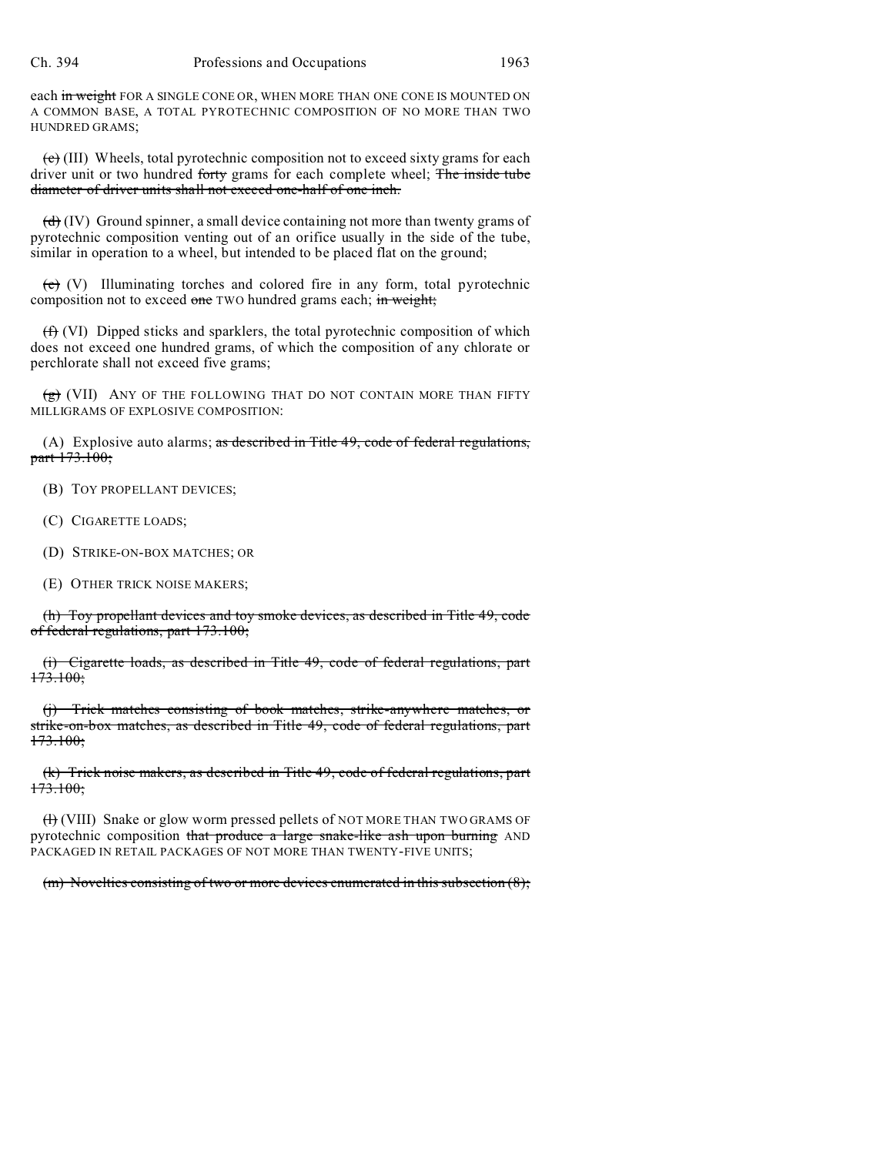each in weight FOR A SINGLE CONE OR, WHEN MORE THAN ONE CONE IS MOUNTED ON A COMMON BASE, A TOTAL PYROTECHNIC COMPOSITION OF NO MORE THAN TWO HUNDRED GRAMS;

 $(e)$  (III) Wheels, total pyrotechnic composition not to exceed sixty grams for each driver unit or two hundred forty grams for each complete wheel; The inside tube diameter of driver units shall not exceed one-half of one inch.

 $(d)$  (IV) Ground spinner, a small device containing not more than twenty grams of pyrotechnic composition venting out of an orifice usually in the side of the tube, similar in operation to a wheel, but intended to be placed flat on the ground;

 $\overline{e}$  (V) Illuminating torches and colored fire in any form, total pyrotechnic composition not to exceed one TWO hundred grams each; in weight;

(f) (VI) Dipped sticks and sparklers, the total pyrotechnic composition of which does not exceed one hundred grams, of which the composition of any chlorate or perchlorate shall not exceed five grams;

 $\overline{g}$  (VII) ANY OF THE FOLLOWING THAT DO NOT CONTAIN MORE THAN FIFTY MILLIGRAMS OF EXPLOSIVE COMPOSITION:

(A) Explosive auto alarms; as described in Title  $49$ , code of federal regulations, part 173.100;

(B) TOY PROPELLANT DEVICES;

(C) CIGARETTE LOADS;

(D) STRIKE-ON-BOX MATCHES; OR

(E) OTHER TRICK NOISE MAKERS;

(h) Toy propellant devices and toy smoke devices, as described in Title 49, code of federal regulations, part 173.100;

(i) Cigarette loads, as described in Title 49, code of federal regulations, part  $173.100;$ 

(j) Trick matches consisting of book matches, strike-anywhere matches, or strike-on-box matches, as described in Title 49, code of federal regulations, part 173.100;

(k) Trick noise makers, as described in Title 49, code of federal regulations, part <del>173.100;</del>

 $(H)$  (VIII) Snake or glow worm pressed pellets of NOT MORE THAN TWO GRAMS OF pyrotechnic composition that produce a large snake-like ash upon burning AND PACKAGED IN RETAIL PACKAGES OF NOT MORE THAN TWENTY-FIVE UNITS;

 $(m)$  Novelties consisting of two or more devices enumerated in this subsection  $(8)$ ;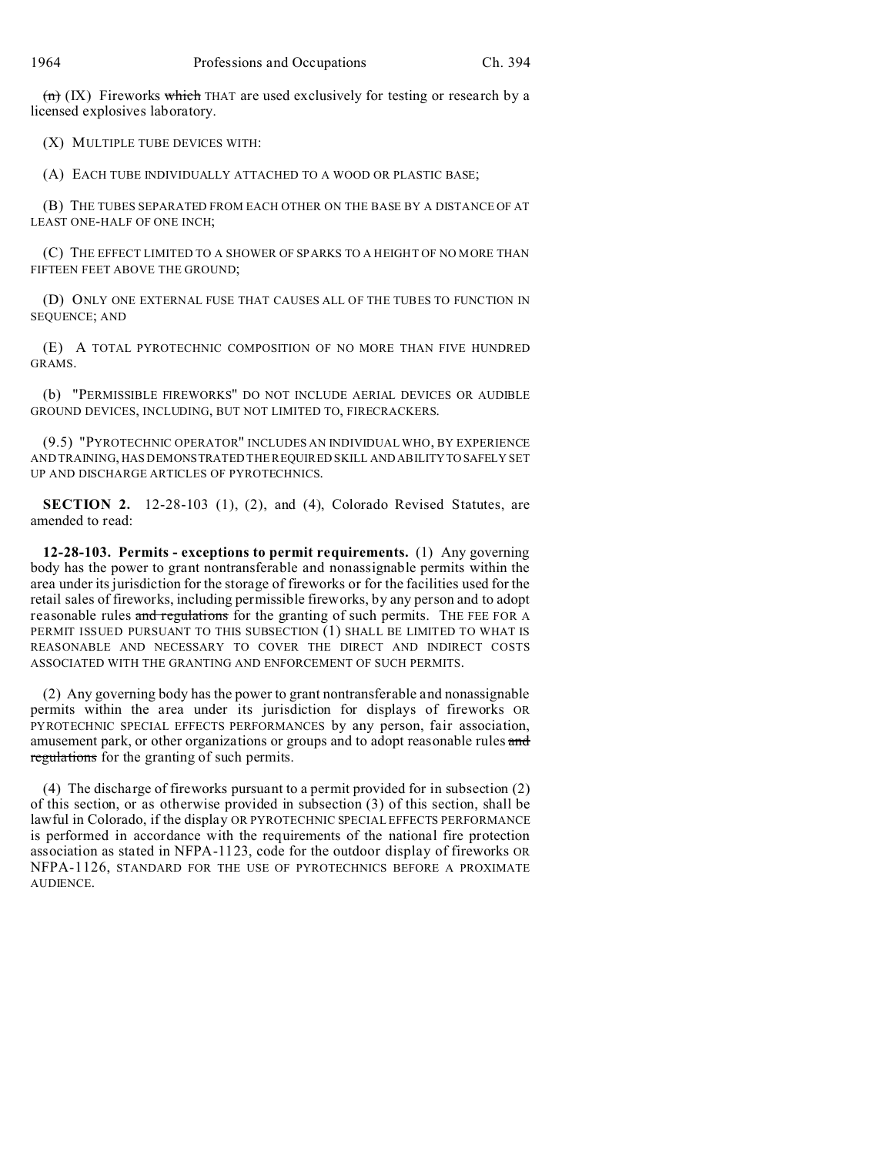$(n)$  (IX) Fireworks which THAT are used exclusively for testing or research by a licensed explosives laboratory.

(X) MULTIPLE TUBE DEVICES WITH:

(A) EACH TUBE INDIVIDUALLY ATTACHED TO A WOOD OR PLASTIC BASE;

(B) THE TUBES SEPARATED FROM EACH OTHER ON THE BASE BY A DISTANCE OF AT LEAST ONE-HALF OF ONE INCH;

(C) THE EFFECT LIMITED TO A SHOWER OF SPARKS TO A HEIGHT OF NO MORE THAN FIFTEEN FEET ABOVE THE GROUND;

(D) ONLY ONE EXTERNAL FUSE THAT CAUSES ALL OF THE TUBES TO FUNCTION IN SEQUENCE; AND

(E) A TOTAL PYROTECHNIC COMPOSITION OF NO MORE THAN FIVE HUNDRED GRAMS.

(b) "PERMISSIBLE FIREWORKS" DO NOT INCLUDE AERIAL DEVICES OR AUDIBLE GROUND DEVICES, INCLUDING, BUT NOT LIMITED TO, FIRECRACKERS.

(9.5) "PYROTECHNIC OPERATOR" INCLUDES AN INDIVIDUAL WHO, BY EXPERIENCE AND TRAINING, HAS DEMONSTRATED THE REQUIRED SKILL AND ABILITYTO SAFELY SET UP AND DISCHARGE ARTICLES OF PYROTECHNICS.

**SECTION 2.** 12-28-103 (1), (2), and (4), Colorado Revised Statutes, are amended to read:

**12-28-103. Permits - exceptions to permit requirements.** (1) Any governing body has the power to grant nontransferable and nonassignable permits within the area under its jurisdiction for the storage of fireworks or for the facilities used for the retail sales of fireworks, including permissible fireworks, by any person and to adopt reasonable rules and regulations for the granting of such permits. THE FEE FOR A PERMIT ISSUED PURSUANT TO THIS SUBSECTION (1) SHALL BE LIMITED TO WHAT IS REASONABLE AND NECESSARY TO COVER THE DIRECT AND INDIRECT COSTS ASSOCIATED WITH THE GRANTING AND ENFORCEMENT OF SUCH PERMITS.

(2) Any governing body has the power to grant nontransferable and nonassignable permits within the area under its jurisdiction for displays of fireworks OR PYROTECHNIC SPECIAL EFFECTS PERFORMANCES by any person, fair association, amusement park, or other organizations or groups and to adopt reasonable rules and regulations for the granting of such permits.

(4) The discharge of fireworks pursuant to a permit provided for in subsection (2) of this section, or as otherwise provided in subsection (3) of this section, shall be lawful in Colorado, if the display OR PYROTECHNIC SPECIAL EFFECTS PERFORMANCE is performed in accordance with the requirements of the national fire protection association as stated in NFPA-1123, code for the outdoor display of fireworks OR NFPA-1126, STANDARD FOR THE USE OF PYROTECHNICS BEFORE A PROXIMATE AUDIENCE.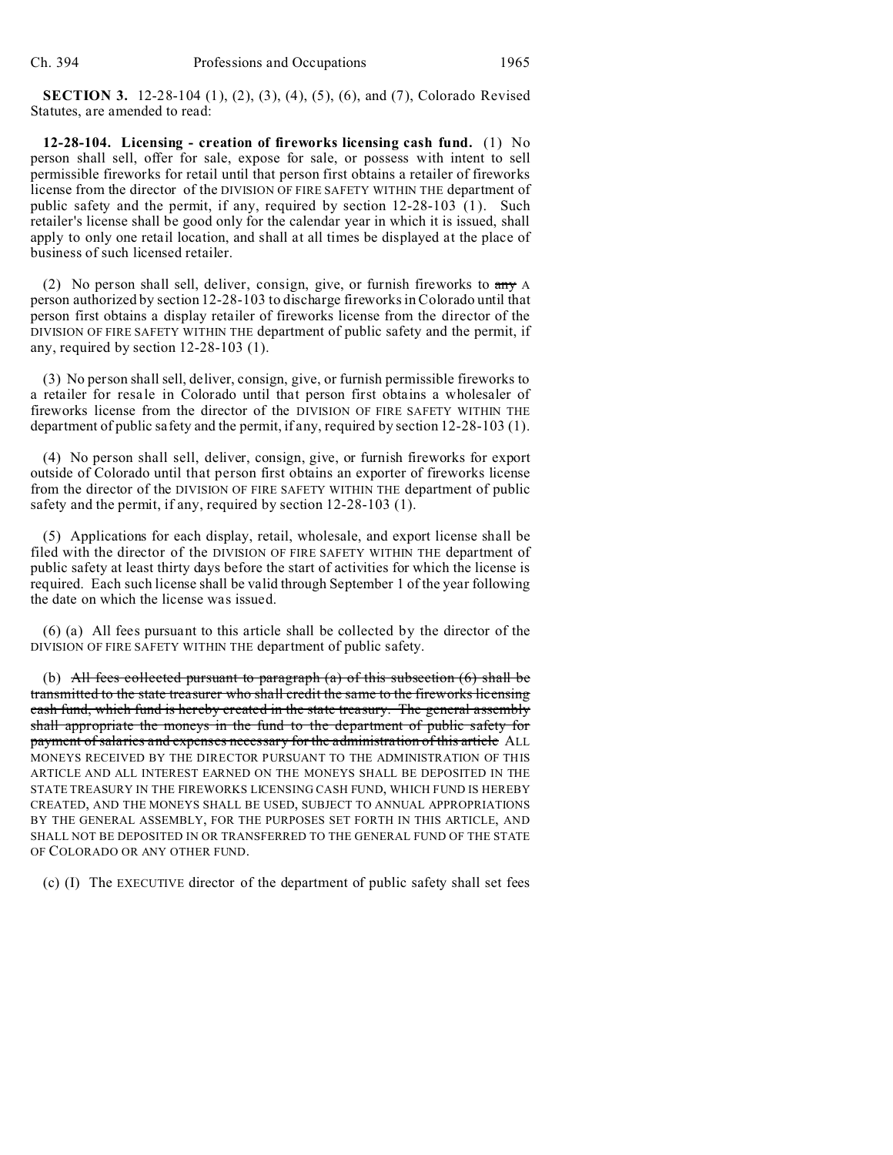**SECTION 3.** 12-28-104 (1), (2), (3), (4), (5), (6), and (7), Colorado Revised Statutes, are amended to read:

**12-28-104. Licensing - creation of fireworks licensing cash fund.** (1) No person shall sell, offer for sale, expose for sale, or possess with intent to sell permissible fireworks for retail until that person first obtains a retailer of fireworks license from the director of the DIVISION OF FIRE SAFETY WITHIN THE department of public safety and the permit, if any, required by section 12-28-103 (1). Such retailer's license shall be good only for the calendar year in which it is issued, shall apply to only one retail location, and shall at all times be displayed at the place of business of such licensed retailer.

(2) No person shall sell, deliver, consign, give, or furnish fireworks to any A person authorized by section 12-28-103 to discharge fireworks in Colorado until that person first obtains a display retailer of fireworks license from the director of the DIVISION OF FIRE SAFETY WITHIN THE department of public safety and the permit, if any, required by section 12-28-103 (1).

(3) No person shall sell, deliver, consign, give, or furnish permissible fireworks to a retailer for resale in Colorado until that person first obtains a wholesaler of fireworks license from the director of the DIVISION OF FIRE SAFETY WITHIN THE department of public safety and the permit, if any, required by section 12-28-103 (1).

(4) No person shall sell, deliver, consign, give, or furnish fireworks for export outside of Colorado until that person first obtains an exporter of fireworks license from the director of the DIVISION OF FIRE SAFETY WITHIN THE department of public safety and the permit, if any, required by section 12-28-103 (1).

(5) Applications for each display, retail, wholesale, and export license shall be filed with the director of the DIVISION OF FIRE SAFETY WITHIN THE department of public safety at least thirty days before the start of activities for which the license is required. Each such license shall be valid through September 1 of the year following the date on which the license was issued.

(6) (a) All fees pursuant to this article shall be collected by the director of the DIVISION OF FIRE SAFETY WITHIN THE department of public safety.

(b) All fees collected pursuant to paragraph  $(a)$  of this subsection  $(6)$  shall be transmitted to the state treasurer who shall credit the same to the fireworks licensing cash fund, which fund is hereby created in the state treasury. The general assembly shall appropriate the moneys in the fund to the department of public safety for payment of salaries and expenses necessary for the administration of this article ALL MONEYS RECEIVED BY THE DIRECTOR PURSUANT TO THE ADMINISTRATION OF THIS ARTICLE AND ALL INTEREST EARNED ON THE MONEYS SHALL BE DEPOSITED IN THE STATE TREASURY IN THE FIREWORKS LICENSING CASH FUND, WHICH FUND IS HEREBY CREATED, AND THE MONEYS SHALL BE USED, SUBJECT TO ANNUAL APPROPRIATIONS BY THE GENERAL ASSEMBLY, FOR THE PURPOSES SET FORTH IN THIS ARTICLE, AND SHALL NOT BE DEPOSITED IN OR TRANSFERRED TO THE GENERAL FUND OF THE STATE OF COLORADO OR ANY OTHER FUND.

(c) (I) The EXECUTIVE director of the department of public safety shall set fees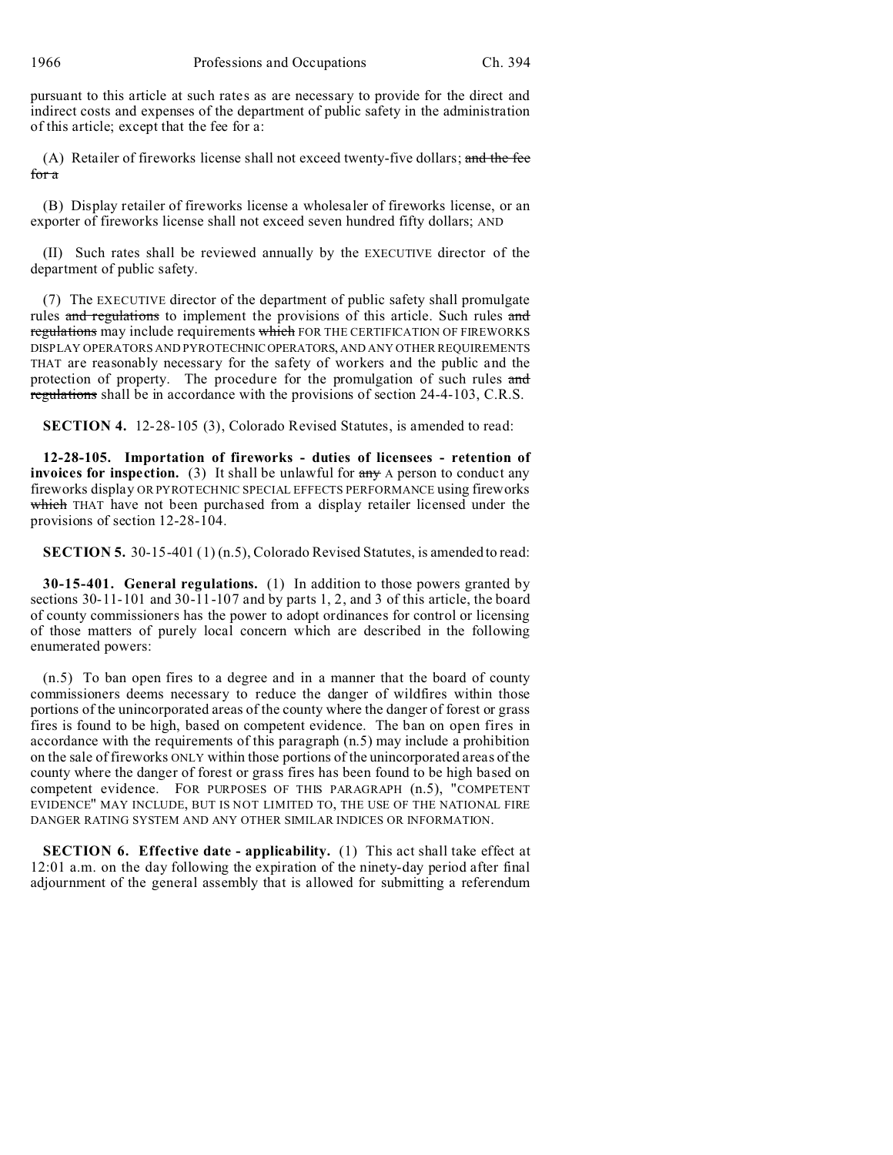1966 Professions and Occupations Ch. 394

pursuant to this article at such rates as are necessary to provide for the direct and indirect costs and expenses of the department of public safety in the administration of this article; except that the fee for a:

(A) Retailer of fireworks license shall not exceed twenty-five dollars; and the fee for a

(B) Display retailer of fireworks license a wholesaler of fireworks license, or an exporter of fireworks license shall not exceed seven hundred fifty dollars; AND

(II) Such rates shall be reviewed annually by the EXECUTIVE director of the department of public safety.

(7) The EXECUTIVE director of the department of public safety shall promulgate rules and regulations to implement the provisions of this article. Such rules and regulations may include requirements which FOR THE CERTIFICATION OF FIREWORKS DISPLAY OPERATORS AND PYROTECHNICOPERATORS, AND ANY OTHER REQUIREMENTS THAT are reasonably necessary for the safety of workers and the public and the protection of property. The procedure for the promulgation of such rules and regulations shall be in accordance with the provisions of section 24-4-103, C.R.S.

**SECTION 4.** 12-28-105 (3), Colorado Revised Statutes, is amended to read:

**12-28-105. Importation of fireworks - duties of licensees - retention of invoices for inspection.** (3) It shall be unlawful for  $\frac{any}{any}$  A person to conduct any fireworks display OR PYROTECHNIC SPECIAL EFFECTS PERFORMANCE using fireworks which THAT have not been purchased from a display retailer licensed under the provisions of section 12-28-104.

**SECTION 5.** 30-15-401 (1) (n.5), Colorado Revised Statutes, is amended to read:

**30-15-401. General regulations.** (1) In addition to those powers granted by sections 30-11-101 and 30-11-107 and by parts 1, 2, and 3 of this article, the board of county commissioners has the power to adopt ordinances for control or licensing of those matters of purely local concern which are described in the following enumerated powers:

(n.5) To ban open fires to a degree and in a manner that the board of county commissioners deems necessary to reduce the danger of wildfires within those portions of the unincorporated areas of the county where the danger of forest or grass fires is found to be high, based on competent evidence. The ban on open fires in accordance with the requirements of this paragraph (n.5) may include a prohibition on the sale of fireworks ONLY within those portions of the unincorporated areas of the county where the danger of forest or grass fires has been found to be high based on competent evidence. FOR PURPOSES OF THIS PARAGRAPH (n.5), "COMPETENT EVIDENCE" MAY INCLUDE, BUT IS NOT LIMITED TO, THE USE OF THE NATIONAL FIRE DANGER RATING SYSTEM AND ANY OTHER SIMILAR INDICES OR INFORMATION.

**SECTION 6. Effective date - applicability.** (1) This act shall take effect at 12:01 a.m. on the day following the expiration of the ninety-day period after final adjournment of the general assembly that is allowed for submitting a referendum